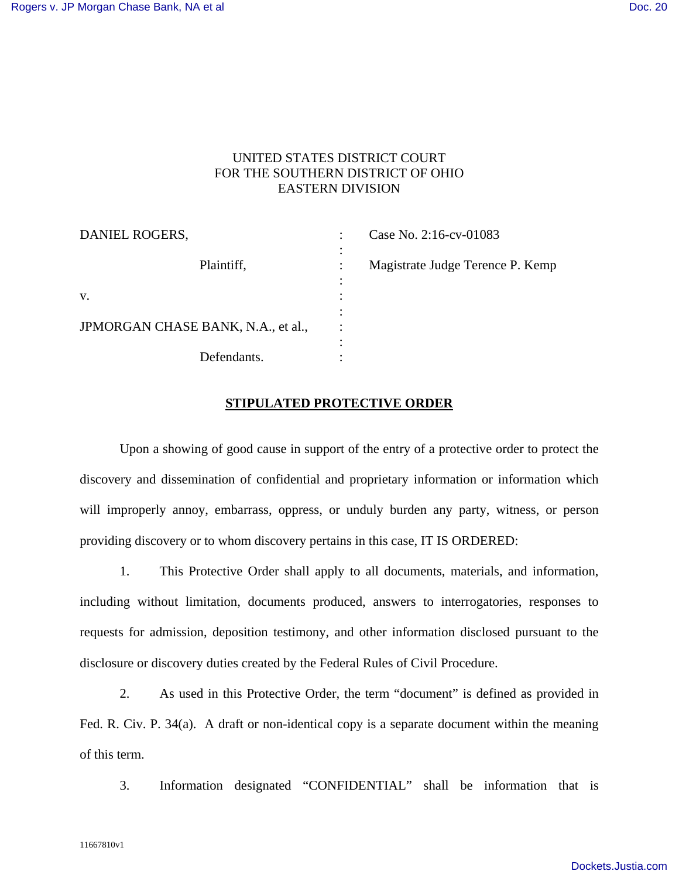### UNITED STATES DISTRICT COURT FOR THE SOUTHERN DISTRICT OF OHIO EASTERN DIVISION

| DANIEL ROGERS,                     |                                                    | Case No. 2:16-cv-01083           |
|------------------------------------|----------------------------------------------------|----------------------------------|
| Plaintiff,                         | ٠<br>$\bullet$<br>$\ddot{\cdot}$<br>٠<br>$\bullet$ | Magistrate Judge Terence P. Kemp |
| V.                                 | $\bullet$                                          |                                  |
| JPMORGAN CHASE BANK, N.A., et al., | ٠                                                  |                                  |
| Defendants.                        | ٠<br>٠                                             |                                  |

#### **STIPULATED PROTECTIVE ORDER**

Upon a showing of good cause in support of the entry of a protective order to protect the discovery and dissemination of confidential and proprietary information or information which will improperly annoy, embarrass, oppress, or unduly burden any party, witness, or person providing discovery or to whom discovery pertains in this case, IT IS ORDERED:

1. This Protective Order shall apply to all documents, materials, and information, including without limitation, documents produced, answers to interrogatories, responses to requests for admission, deposition testimony, and other information disclosed pursuant to the disclosure or discovery duties created by the Federal Rules of Civil Procedure.

2. As used in this Protective Order, the term "document" is defined as provided in Fed. R. Civ. P. 34(a). A draft or non-identical copy is a separate document within the meaning of this term.

3. Information designated "CONFIDENTIAL" shall be information that is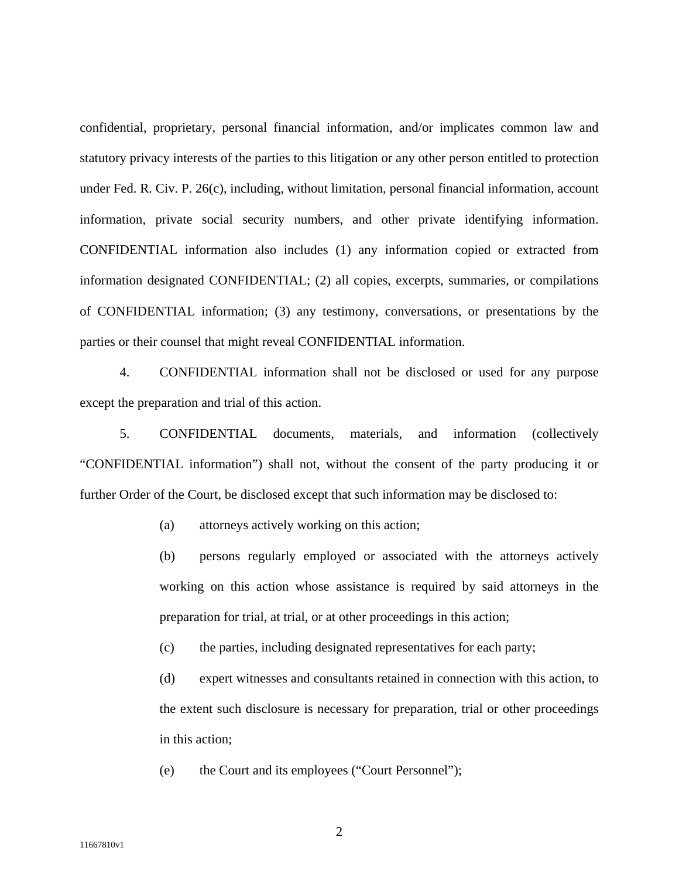confidential, proprietary, personal financial information, and/or implicates common law and statutory privacy interests of the parties to this litigation or any other person entitled to protection under Fed. R. Civ. P. 26(c), including, without limitation, personal financial information, account information, private social security numbers, and other private identifying information. CONFIDENTIAL information also includes (1) any information copied or extracted from information designated CONFIDENTIAL; (2) all copies, excerpts, summaries, or compilations of CONFIDENTIAL information; (3) any testimony, conversations, or presentations by the parties or their counsel that might reveal CONFIDENTIAL information.

4. CONFIDENTIAL information shall not be disclosed or used for any purpose except the preparation and trial of this action.

5. CONFIDENTIAL documents, materials, and information (collectively "CONFIDENTIAL information") shall not, without the consent of the party producing it or further Order of the Court, be disclosed except that such information may be disclosed to:

(a) attorneys actively working on this action;

(b) persons regularly employed or associated with the attorneys actively working on this action whose assistance is required by said attorneys in the preparation for trial, at trial, or at other proceedings in this action;

(c) the parties, including designated representatives for each party;

(d) expert witnesses and consultants retained in connection with this action, to the extent such disclosure is necessary for preparation, trial or other proceedings in this action;

(e) the Court and its employees ("Court Personnel");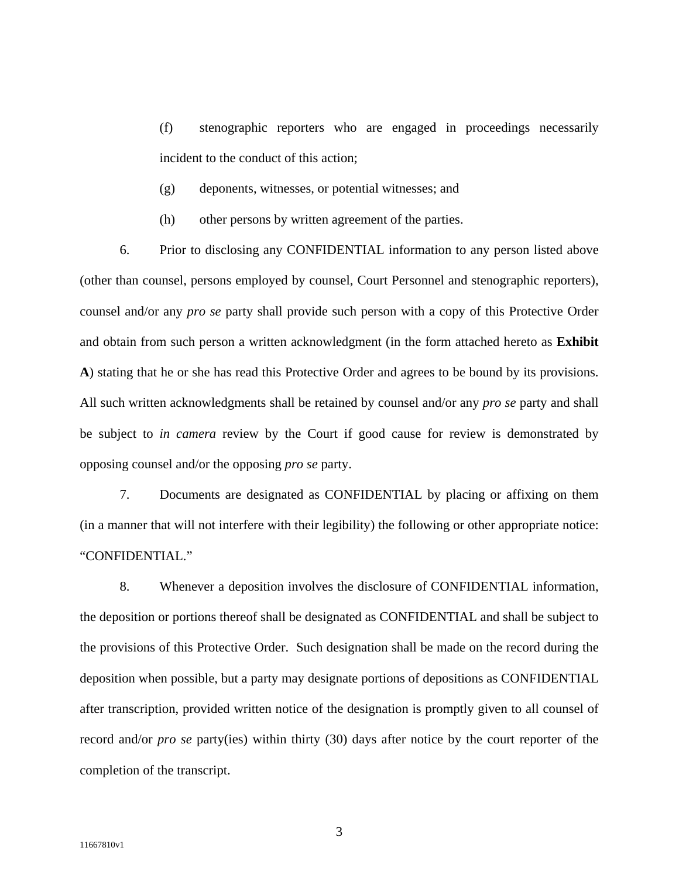(f) stenographic reporters who are engaged in proceedings necessarily incident to the conduct of this action;

- (g) deponents, witnesses, or potential witnesses; and
- (h) other persons by written agreement of the parties.

6. Prior to disclosing any CONFIDENTIAL information to any person listed above (other than counsel, persons employed by counsel, Court Personnel and stenographic reporters), counsel and/or any *pro se* party shall provide such person with a copy of this Protective Order and obtain from such person a written acknowledgment (in the form attached hereto as **Exhibit A**) stating that he or she has read this Protective Order and agrees to be bound by its provisions. All such written acknowledgments shall be retained by counsel and/or any *pro se* party and shall be subject to *in camera* review by the Court if good cause for review is demonstrated by opposing counsel and/or the opposing *pro se* party.

7. Documents are designated as CONFIDENTIAL by placing or affixing on them (in a manner that will not interfere with their legibility) the following or other appropriate notice: "CONFIDENTIAL."

8. Whenever a deposition involves the disclosure of CONFIDENTIAL information, the deposition or portions thereof shall be designated as CONFIDENTIAL and shall be subject to the provisions of this Protective Order. Such designation shall be made on the record during the deposition when possible, but a party may designate portions of depositions as CONFIDENTIAL after transcription, provided written notice of the designation is promptly given to all counsel of record and/or *pro se* party(ies) within thirty (30) days after notice by the court reporter of the completion of the transcript.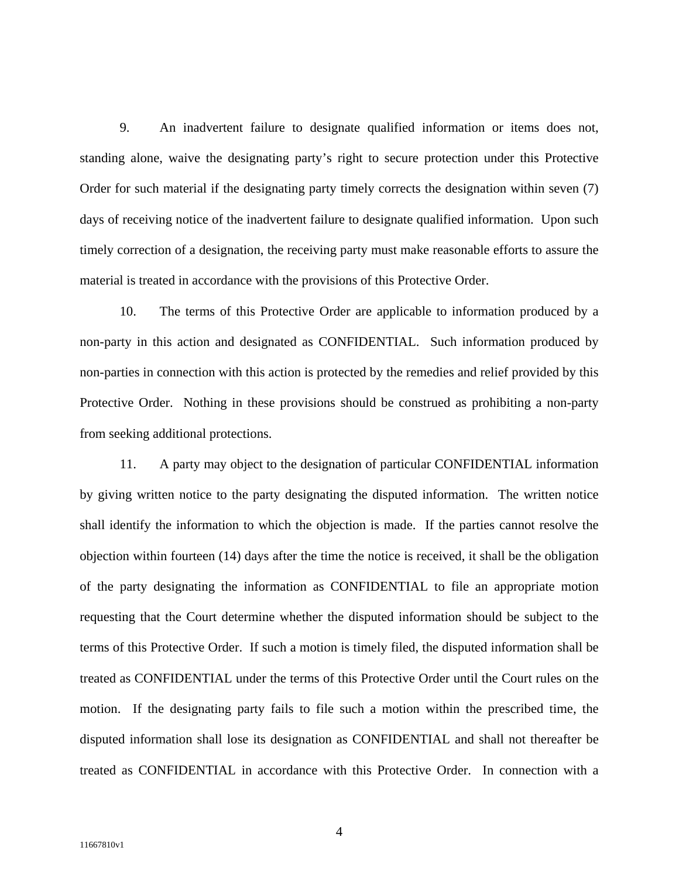9. An inadvertent failure to designate qualified information or items does not, standing alone, waive the designating party's right to secure protection under this Protective Order for such material if the designating party timely corrects the designation within seven (7) days of receiving notice of the inadvertent failure to designate qualified information. Upon such timely correction of a designation, the receiving party must make reasonable efforts to assure the material is treated in accordance with the provisions of this Protective Order.

10. The terms of this Protective Order are applicable to information produced by a non-party in this action and designated as CONFIDENTIAL. Such information produced by non-parties in connection with this action is protected by the remedies and relief provided by this Protective Order. Nothing in these provisions should be construed as prohibiting a non-party from seeking additional protections.

11. A party may object to the designation of particular CONFIDENTIAL information by giving written notice to the party designating the disputed information. The written notice shall identify the information to which the objection is made. If the parties cannot resolve the objection within fourteen (14) days after the time the notice is received, it shall be the obligation of the party designating the information as CONFIDENTIAL to file an appropriate motion requesting that the Court determine whether the disputed information should be subject to the terms of this Protective Order. If such a motion is timely filed, the disputed information shall be treated as CONFIDENTIAL under the terms of this Protective Order until the Court rules on the motion. If the designating party fails to file such a motion within the prescribed time, the disputed information shall lose its designation as CONFIDENTIAL and shall not thereafter be treated as CONFIDENTIAL in accordance with this Protective Order. In connection with a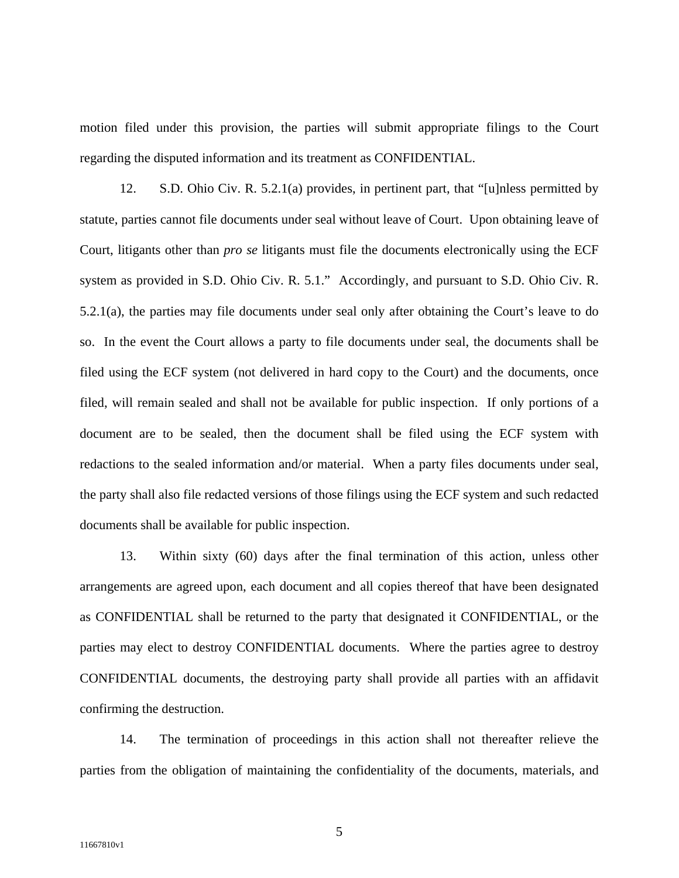motion filed under this provision, the parties will submit appropriate filings to the Court regarding the disputed information and its treatment as CONFIDENTIAL.

12. S.D. Ohio Civ. R. 5.2.1(a) provides, in pertinent part, that "[u]nless permitted by statute, parties cannot file documents under seal without leave of Court. Upon obtaining leave of Court, litigants other than *pro se* litigants must file the documents electronically using the ECF system as provided in S.D. Ohio Civ. R. 5.1." Accordingly, and pursuant to S.D. Ohio Civ. R. 5.2.1(a), the parties may file documents under seal only after obtaining the Court's leave to do so. In the event the Court allows a party to file documents under seal, the documents shall be filed using the ECF system (not delivered in hard copy to the Court) and the documents, once filed, will remain sealed and shall not be available for public inspection. If only portions of a document are to be sealed, then the document shall be filed using the ECF system with redactions to the sealed information and/or material. When a party files documents under seal, the party shall also file redacted versions of those filings using the ECF system and such redacted documents shall be available for public inspection.

13. Within sixty (60) days after the final termination of this action, unless other arrangements are agreed upon, each document and all copies thereof that have been designated as CONFIDENTIAL shall be returned to the party that designated it CONFIDENTIAL, or the parties may elect to destroy CONFIDENTIAL documents. Where the parties agree to destroy CONFIDENTIAL documents, the destroying party shall provide all parties with an affidavit confirming the destruction.

14. The termination of proceedings in this action shall not thereafter relieve the parties from the obligation of maintaining the confidentiality of the documents, materials, and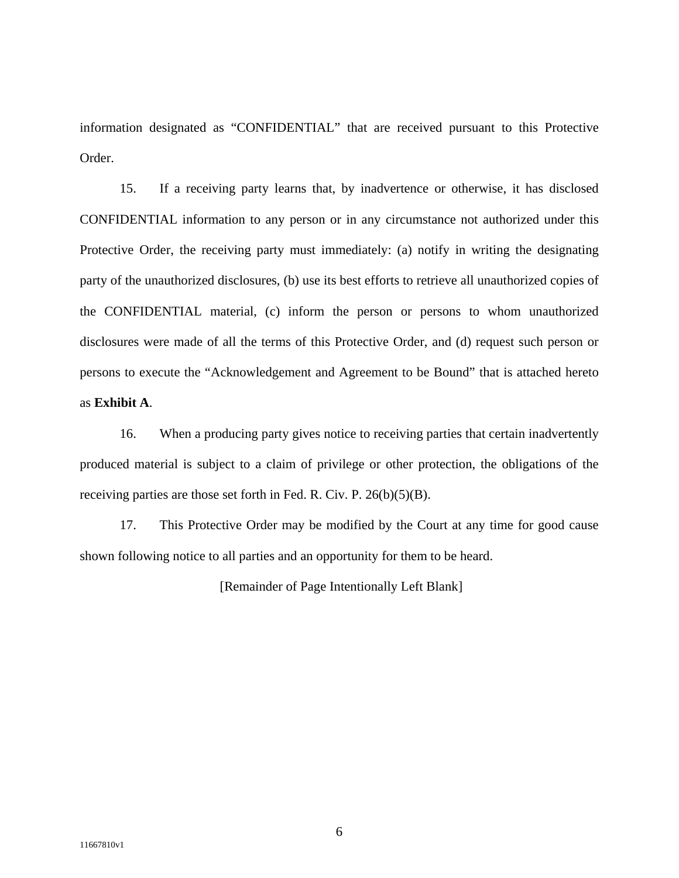information designated as "CONFIDENTIAL" that are received pursuant to this Protective Order.

15. If a receiving party learns that, by inadvertence or otherwise, it has disclosed CONFIDENTIAL information to any person or in any circumstance not authorized under this Protective Order, the receiving party must immediately: (a) notify in writing the designating party of the unauthorized disclosures, (b) use its best efforts to retrieve all unauthorized copies of the CONFIDENTIAL material, (c) inform the person or persons to whom unauthorized disclosures were made of all the terms of this Protective Order, and (d) request such person or persons to execute the "Acknowledgement and Agreement to be Bound" that is attached hereto as **Exhibit A**.

16. When a producing party gives notice to receiving parties that certain inadvertently produced material is subject to a claim of privilege or other protection, the obligations of the receiving parties are those set forth in Fed. R. Civ. P. 26(b)(5)(B).

17. This Protective Order may be modified by the Court at any time for good cause shown following notice to all parties and an opportunity for them to be heard.

[Remainder of Page Intentionally Left Blank]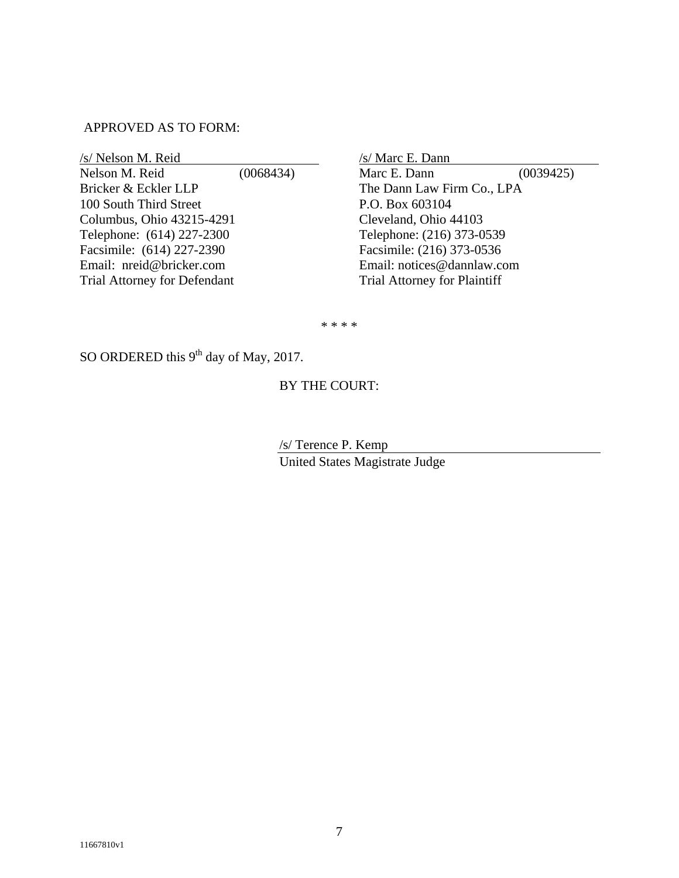### APPROVED AS TO FORM:

| (0068434) |
|-----------|
|           |
|           |
|           |
|           |
|           |
|           |
|           |
|           |

 $/s/Marc E.$  Dann Marc E. Dann (0039425) The Dann Law Firm Co., LPA P.O. Box 603104 Cleveland, Ohio 44103 Telephone: (216) 373-0539 Facsimile: (216) 373-0536 Email: notices@dannlaw.com Trial Attorney for Plaintiff

\* \* \* \*

SO ORDERED this 9<sup>th</sup> day of May, 2017.

# BY THE COURT:

 /s/ Terence P. Kemp United States Magistrate Judge